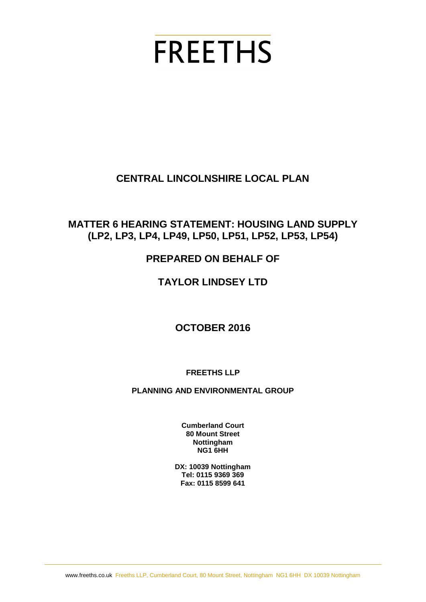# **FREETHS**

## **CENTRAL LINCOLNSHIRE LOCAL PLAN**

## **MATTER 6 HEARING STATEMENT: HOUSING LAND SUPPLY (LP2, LP3, LP4, LP49, LP50, LP51, LP52, LP53, LP54)**

## **PREPARED ON BEHALF OF**

## **TAYLOR LINDSEY LTD**

## **OCTOBER 2016**

#### **FREETHS LLP**

#### **PLANNING AND ENVIRONMENTAL GROUP**

**Cumberland Court 80 Mount Street Nottingham NG1 6HH**

**DX: 10039 Nottingham Tel: 0115 9369 369 Fax: 0115 8599 641**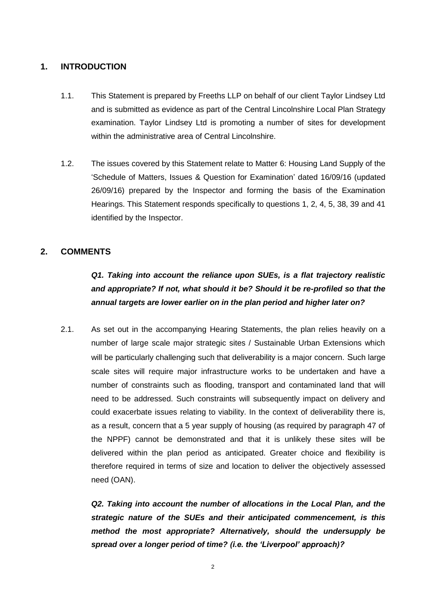#### **1. INTRODUCTION**

- 1.1. This Statement is prepared by Freeths LLP on behalf of our client Taylor Lindsey Ltd and is submitted as evidence as part of the Central Lincolnshire Local Plan Strategy examination. Taylor Lindsey Ltd is promoting a number of sites for development within the administrative area of Central Lincolnshire.
- 1.2. The issues covered by this Statement relate to Matter 6: Housing Land Supply of the 'Schedule of Matters, Issues & Question for Examination' dated 16/09/16 (updated 26/09/16) prepared by the Inspector and forming the basis of the Examination Hearings. This Statement responds specifically to questions 1, 2, 4, 5, 38, 39 and 41 identified by the Inspector.

#### **2. COMMENTS**

*Q1. Taking into account the reliance upon SUEs, is a flat trajectory realistic and appropriate? If not, what should it be? Should it be re-profiled so that the annual targets are lower earlier on in the plan period and higher later on?* 

2.1. As set out in the accompanying Hearing Statements, the plan relies heavily on a number of large scale major strategic sites / Sustainable Urban Extensions which will be particularly challenging such that deliverability is a major concern. Such large scale sites will require major infrastructure works to be undertaken and have a number of constraints such as flooding, transport and contaminated land that will need to be addressed. Such constraints will subsequently impact on delivery and could exacerbate issues relating to viability. In the context of deliverability there is, as a result, concern that a 5 year supply of housing (as required by paragraph 47 of the NPPF) cannot be demonstrated and that it is unlikely these sites will be delivered within the plan period as anticipated. Greater choice and flexibility is therefore required in terms of size and location to deliver the objectively assessed need (OAN).

*Q2. Taking into account the number of allocations in the Local Plan, and the strategic nature of the SUEs and their anticipated commencement, is this method the most appropriate? Alternatively, should the undersupply be spread over a longer period of time? (i.e. the 'Liverpool' approach)?*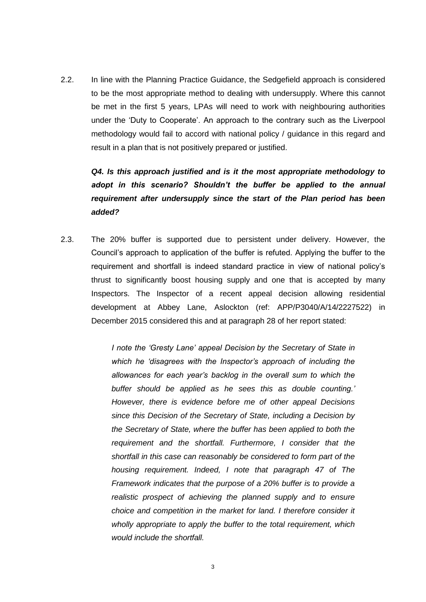2.2. In line with the Planning Practice Guidance, the Sedgefield approach is considered to be the most appropriate method to dealing with undersupply. Where this cannot be met in the first 5 years, LPAs will need to work with neighbouring authorities under the 'Duty to Cooperate'. An approach to the contrary such as the Liverpool methodology would fail to accord with national policy / guidance in this regard and result in a plan that is not positively prepared or justified.

*Q4. Is this approach justified and is it the most appropriate methodology to adopt in this scenario? Shouldn't the buffer be applied to the annual requirement after undersupply since the start of the Plan period has been added?* 

2.3. The 20% buffer is supported due to persistent under delivery. However, the Council's approach to application of the buffer is refuted. Applying the buffer to the requirement and shortfall is indeed standard practice in view of national policy's thrust to significantly boost housing supply and one that is accepted by many Inspectors. The Inspector of a recent appeal decision allowing residential development at Abbey Lane, Aslockton (ref: APP/P3040/A/14/2227522) in December 2015 considered this and at paragraph 28 of her report stated:

> *I note the 'Gresty Lane' appeal Decision by the Secretary of State in which he 'disagrees with the Inspector's approach of including the allowances for each year's backlog in the overall sum to which the buffer should be applied as he sees this as double counting.' However, there is evidence before me of other appeal Decisions since this Decision of the Secretary of State, including a Decision by the Secretary of State, where the buffer has been applied to both the requirement and the shortfall. Furthermore, I consider that the shortfall in this case can reasonably be considered to form part of the housing requirement. Indeed, I note that paragraph 47 of The Framework indicates that the purpose of a 20% buffer is to provide a realistic prospect of achieving the planned supply and to ensure choice and competition in the market for land. I therefore consider it wholly appropriate to apply the buffer to the total requirement, which would include the shortfall.*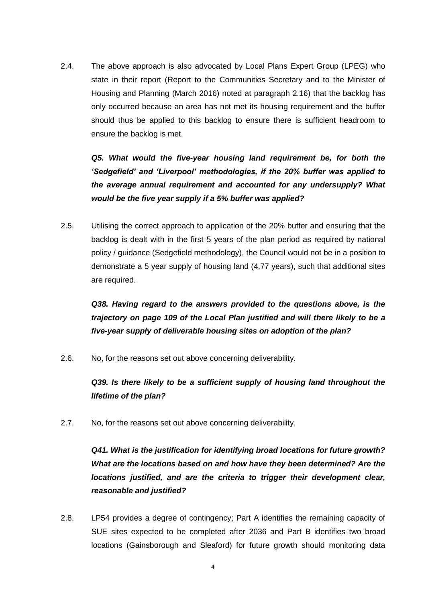2.4. The above approach is also advocated by Local Plans Expert Group (LPEG) who state in their report (Report to the Communities Secretary and to the Minister of Housing and Planning (March 2016) noted at paragraph 2.16) that the backlog has only occurred because an area has not met its housing requirement and the buffer should thus be applied to this backlog to ensure there is sufficient headroom to ensure the backlog is met.

*Q5. What would the five-year housing land requirement be, for both the 'Sedgefield' and 'Liverpool' methodologies, if the 20% buffer was applied to the average annual requirement and accounted for any undersupply? What would be the five year supply if a 5% buffer was applied?* 

2.5. Utilising the correct approach to application of the 20% buffer and ensuring that the backlog is dealt with in the first 5 years of the plan period as required by national policy / guidance (Sedgefield methodology), the Council would not be in a position to demonstrate a 5 year supply of housing land (4.77 years), such that additional sites are required.

*Q38. Having regard to the answers provided to the questions above, is the trajectory on page 109 of the Local Plan justified and will there likely to be a five-year supply of deliverable housing sites on adoption of the plan?*

2.6. No, for the reasons set out above concerning deliverability.

*Q39. Is there likely to be a sufficient supply of housing land throughout the lifetime of the plan?* 

2.7. No, for the reasons set out above concerning deliverability.

*Q41. What is the justification for identifying broad locations for future growth? What are the locations based on and how have they been determined? Are the locations justified, and are the criteria to trigger their development clear, reasonable and justified?* 

2.8. LP54 provides a degree of contingency; Part A identifies the remaining capacity of SUE sites expected to be completed after 2036 and Part B identifies two broad locations (Gainsborough and Sleaford) for future growth should monitoring data